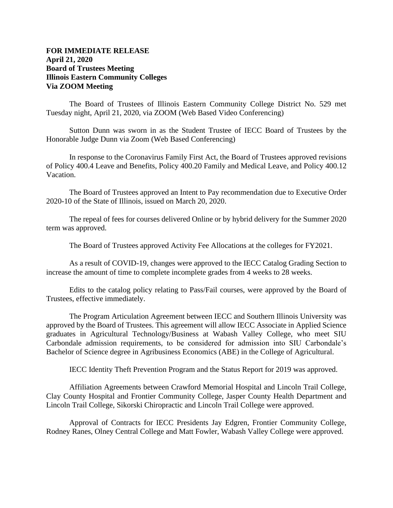## **FOR IMMEDIATE RELEASE April 21, 2020 Board of Trustees Meeting Illinois Eastern Community Colleges Via ZOOM Meeting**

The Board of Trustees of Illinois Eastern Community College District No. 529 met Tuesday night, April 21, 2020, via ZOOM (Web Based Video Conferencing)

Sutton Dunn was sworn in as the Student Trustee of IECC Board of Trustees by the Honorable Judge Dunn via Zoom (Web Based Conferencing)

In response to the Coronavirus Family First Act, the Board of Trustees approved revisions of Policy 400.4 Leave and Benefits, Policy 400.20 Family and Medical Leave, and Policy 400.12 Vacation.

The Board of Trustees approved an Intent to Pay recommendation due to Executive Order 2020-10 of the State of Illinois, issued on March 20, 2020.

The repeal of fees for courses delivered Online or by hybrid delivery for the Summer 2020 term was approved.

The Board of Trustees approved Activity Fee Allocations at the colleges for FY2021.

As a result of COVID-19, changes were approved to the IECC Catalog Grading Section to increase the amount of time to complete incomplete grades from 4 weeks to 28 weeks.

Edits to the catalog policy relating to Pass/Fail courses, were approved by the Board of Trustees, effective immediately.

The Program Articulation Agreement between IECC and Southern Illinois University was approved by the Board of Trustees. This agreement will allow IECC Associate in Applied Science graduates in Agricultural Technology/Business at Wabash Valley College, who meet SIU Carbondale admission requirements, to be considered for admission into SIU Carbondale's Bachelor of Science degree in Agribusiness Economics (ABE) in the College of Agricultural.

IECC Identity Theft Prevention Program and the Status Report for 2019 was approved.

Affiliation Agreements between Crawford Memorial Hospital and Lincoln Trail College, Clay County Hospital and Frontier Community College, Jasper County Health Department and Lincoln Trail College, Sikorski Chiropractic and Lincoln Trail College were approved.

Approval of Contracts for IECC Presidents Jay Edgren, Frontier Community College, Rodney Ranes, Olney Central College and Matt Fowler, Wabash Valley College were approved.